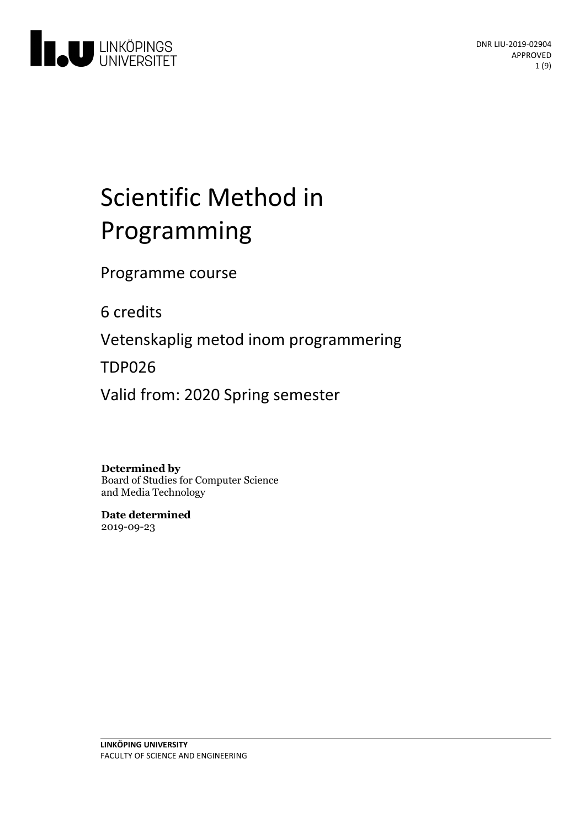

# Scientific Method in Programming

Programme course

6 credits

Vetenskaplig metod inom programmering

TDP026

Valid from: 2020 Spring semester

### **Determined by**

Board of Studies for Computer Science and Media Technology

**Date determined** 2019-09-23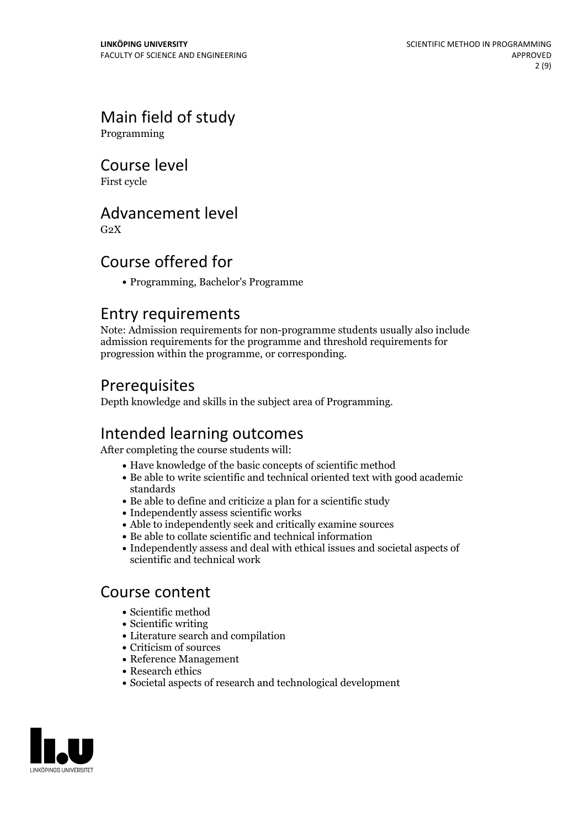# Main field of study

Programming

### Course level

First cycle

## Advancement level

 $G<sub>2</sub>X$ 

# Course offered for

Programming, Bachelor's Programme

### Entry requirements

Note: Admission requirements for non-programme students usually also include admission requirements for the programme and threshold requirements for progression within the programme, or corresponding.

## Prerequisites

Depth knowledge and skills in the subject area of Programming.

### Intended learning outcomes

After completing the course students will:

- $\bullet$  Have knowledge of the basic concepts of scientific method
- Be able to write scientific and technical oriented text with good academic standards
- Be able to define and criticize a plan for a scientific study
- Independently assess scientific works
- Able to independently seek and critically examine sources
- Be able to collate scientific and technical information
- Independently assess and dealwith ethical issues and societal aspects of scientific and technical work

# Course content

- Scientific method
- Scientific writing
- Literature search and compilation
- Criticism of sources
- Reference Management
- Research ethics
- Societal aspects of research and technological development

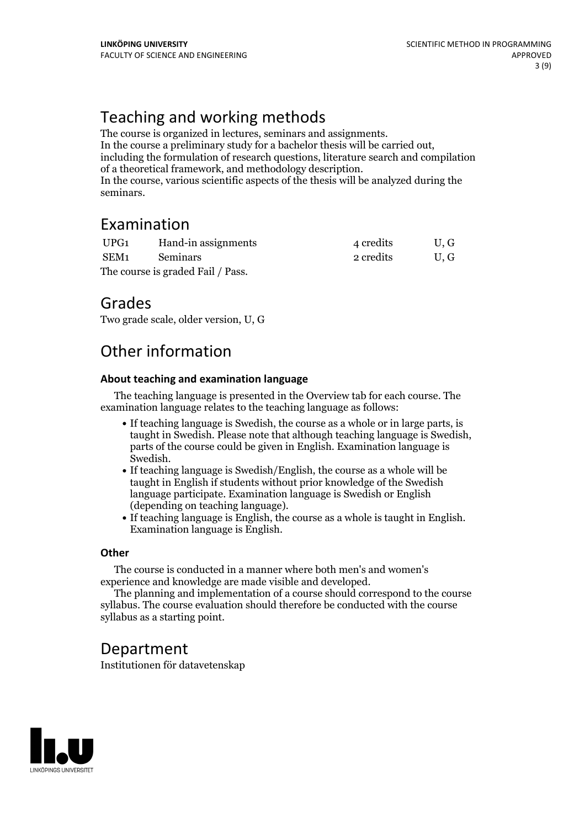# Teaching and working methods<br>The course is organized in lectures, seminars and assignments.

In the course a preliminary study for a bachelor thesis will be carried out, including the formulation of research questions, literature search and compilation of a theoretical framework, and methodology description. In the course, various scientific aspects of the thesis will be analyzed during the seminars.

### Examination

| UPG1                              | Hand-in assignments | 4 credits | U.G |
|-----------------------------------|---------------------|-----------|-----|
| SEM1                              | Seminars            | 2 credits | U.G |
| The course is graded Fail / Pass. |                     |           |     |

# Grades

Two grade scale, older version, U, G

# Other information

#### **About teaching and examination language**

The teaching language is presented in the Overview tab for each course. The examination language relates to the teaching language as follows:

- If teaching language is Swedish, the course as a whole or in large parts, is taught in Swedish. Please note that although teaching language is Swedish, parts of the course could be given in English. Examination language is
- Swedish.<br>• If teaching language is Swedish/English, the course as a whole will be taught in English if students without prior knowledge of the Swedish language participate. Examination language is Swedish or English
- (depending on teaching language).<br>• If teaching language is English, the course as a whole is taught in English.<br>Examination language is English.

#### **Other**

The course is conducted in a manner where both men's and women's

experience and knowledge are made visible and developed. The planning and implementation of <sup>a</sup> course should correspond to the course syllabus. The course evaluation should therefore be conducted with the course syllabus as a starting point.

### Department

Institutionen för datavetenskap

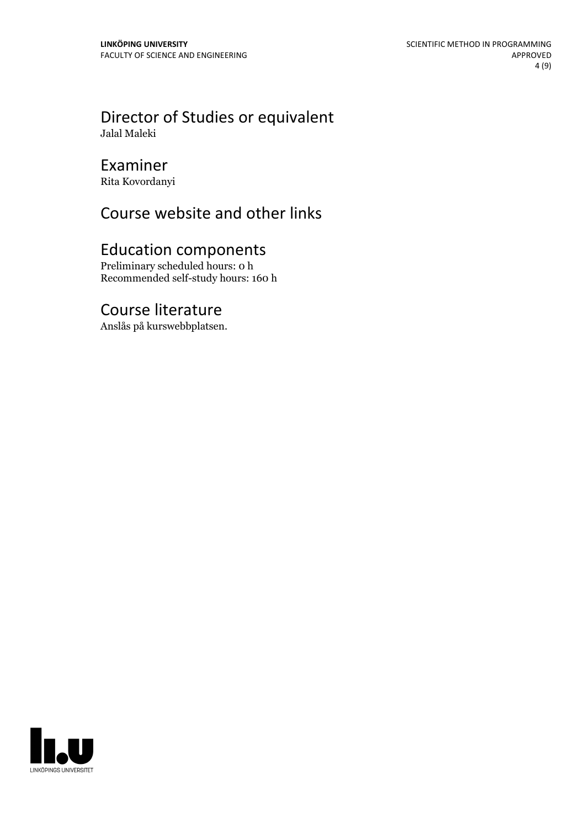### Director of Studies or equivalent Jalal Maleki

### Examiner

Rita Kovordanyi

# Course website and other links

# Education components

Preliminary scheduled hours: 0 h Recommended self-study hours: 160 h

# Course literature

Anslås på kurswebbplatsen.

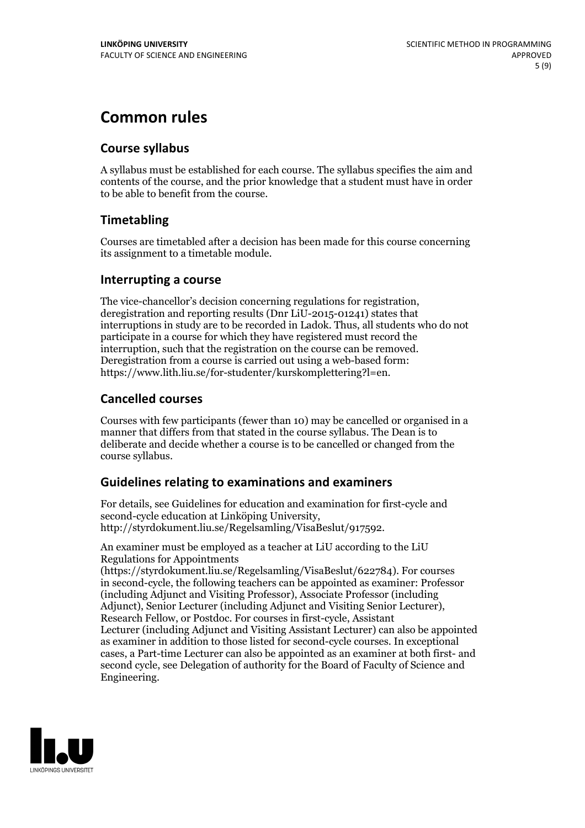# **Common rules**

#### **Course syllabus**

A syllabus must be established for each course. The syllabus specifies the aim and contents of the course, and the prior knowledge that a student must have in order to be able to benefit from the course.

### **Timetabling**

Courses are timetabled after a decision has been made for this course concerning its assignment to a timetable module.

#### **Interrupting a course**

The vice-chancellor's decision concerning regulations for registration, deregistration and reporting results (Dnr LiU-2015-01241) states that interruptions in study are to be recorded in Ladok. Thus, all students who do not participate in a course for which they have registered must record the interruption, such that the registration on the course can be removed. Deregistration from <sup>a</sup> course is carried outusing <sup>a</sup> web-based form: https://www.lith.liu.se/for-studenter/kurskomplettering?l=en.

### **Cancelled courses**

Courses with few participants (fewer than 10) may be cancelled or organised in a manner that differs from that stated in the course syllabus. The Dean is to deliberate and decide whether a course is to be cancelled or changed from the course syllabus.

### **Guidelines relatingto examinations and examiners**

For details, see Guidelines for education and examination for first-cycle and second-cycle education at Linköping University, http://styrdokument.liu.se/Regelsamling/VisaBeslut/917592.

An examiner must be employed as a teacher at LiU according to the LiU Regulations for Appointments

(https://styrdokument.liu.se/Regelsamling/VisaBeslut/622784). For courses in second-cycle, the following teachers can be appointed as examiner: Professor (including Adjunct and Visiting Professor), Associate Professor (including Adjunct), Senior Lecturer (including Adjunct and Visiting Senior Lecturer), Research Fellow, or Postdoc. For courses in first-cycle, Assistant Lecturer (including Adjunct and Visiting Assistant Lecturer) can also be appointed as examiner in addition to those listed for second-cycle courses. In exceptional cases, a Part-time Lecturer can also be appointed as an examiner at both first- and second cycle, see Delegation of authority for the Board of Faculty of Science and Engineering.

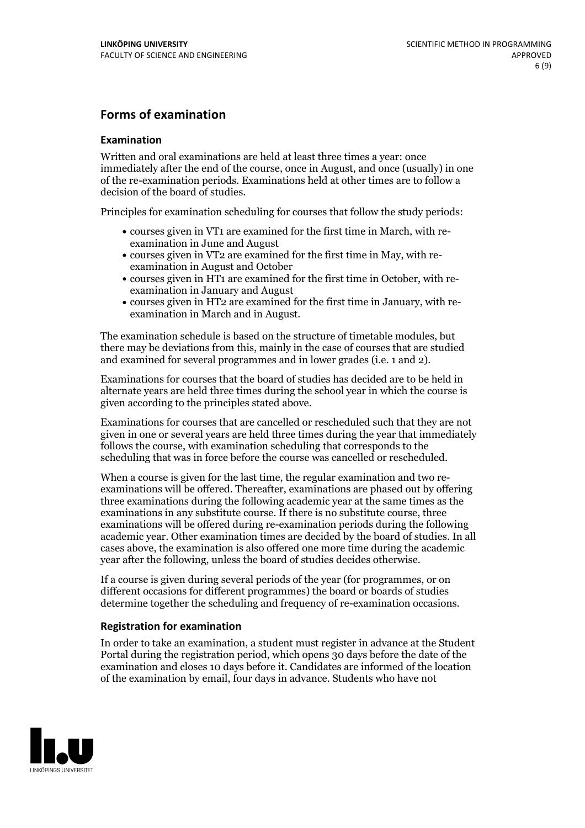#### **Forms of examination**

#### **Examination**

Written and oral examinations are held at least three times a year: once immediately after the end of the course, once in August, and once (usually) in one of the re-examination periods. Examinations held at other times are to follow a decision of the board of studies.

Principles for examination scheduling for courses that follow the study periods:

- courses given in VT1 are examined for the first time in March, with re-examination in June and August
- courses given in VT2 are examined for the first time in May, with re-examination in August and October
- courses given in HT1 are examined for the first time in October, with re-examination in January and August
- courses given in HT2 are examined for the first time in January, with re-examination in March and in August.

The examination schedule is based on the structure of timetable modules, but there may be deviations from this, mainly in the case of courses that are studied and examined for several programmes and in lower grades (i.e. 1 and 2).

Examinations for courses that the board of studies has decided are to be held in alternate years are held three times during the school year in which the course is given according to the principles stated above.

Examinations for courses that are cancelled orrescheduled such that they are not given in one or several years are held three times during the year that immediately follows the course, with examination scheduling that corresponds to the scheduling that was in force before the course was cancelled or rescheduled.

When a course is given for the last time, the regular examination and two re-<br>examinations will be offered. Thereafter, examinations are phased out by offering three examinations during the following academic year at the same times as the examinations in any substitute course. If there is no substitute course, three examinations will be offered during re-examination periods during the following academic year. Other examination times are decided by the board of studies. In all cases above, the examination is also offered one more time during the academic year after the following, unless the board of studies decides otherwise.

If a course is given during several periods of the year (for programmes, or on different occasions for different programmes) the board or boards of studies determine together the scheduling and frequency of re-examination occasions.

#### **Registration for examination**

In order to take an examination, a student must register in advance at the Student Portal during the registration period, which opens 30 days before the date of the examination and closes 10 days before it. Candidates are informed of the location of the examination by email, four days in advance. Students who have not

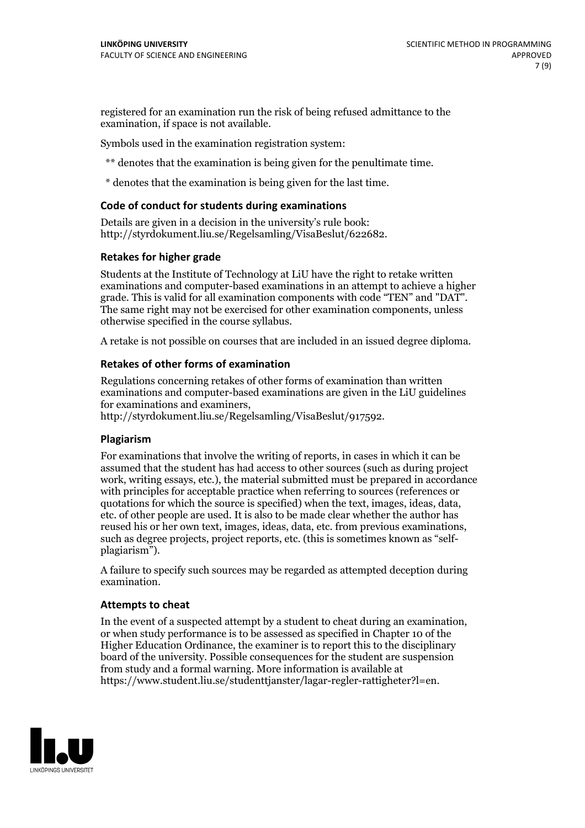registered for an examination run the risk of being refused admittance to the examination, if space is not available.

Symbols used in the examination registration system:

\*\* denotes that the examination is being given for the penultimate time.

\* denotes that the examination is being given for the last time.

#### **Code of conduct for students during examinations**

Details are given in a decision in the university's rule book: http://styrdokument.liu.se/Regelsamling/VisaBeslut/622682.

#### **Retakes for higher grade**

Students at the Institute of Technology at LiU have the right to retake written examinations and computer-based examinations in an attempt to achieve a higher grade. This is valid for all examination components with code "TEN" and "DAT". The same right may not be exercised for other examination components, unless otherwise specified in the course syllabus.

A retake is not possible on courses that are included in an issued degree diploma.

#### **Retakes of other forms of examination**

Regulations concerning retakes of other forms of examination than written examinations and computer-based examinations are given in the LiU guidelines

http://styrdokument.liu.se/Regelsamling/VisaBeslut/917592.

#### **Plagiarism**

For examinations that involve the writing of reports, in cases in which it can be assumed that the student has had access to other sources (such as during project work, writing essays, etc.), the material submitted must be prepared in accordance with principles for acceptable practice when referring to sources (references or quotations for which the source is specified) when the text, images, ideas, data,  $\vec{e}$  etc. of other people are used. It is also to be made clear whether the author has reused his or her own text, images, ideas, data, etc. from previous examinations, such as degree projects, project reports, etc. (this is sometimes known as "self- plagiarism").

A failure to specify such sources may be regarded as attempted deception during examination.

#### **Attempts to cheat**

In the event of <sup>a</sup> suspected attempt by <sup>a</sup> student to cheat during an examination, or when study performance is to be assessed as specified in Chapter <sup>10</sup> of the Higher Education Ordinance, the examiner is to report this to the disciplinary board of the university. Possible consequences for the student are suspension from study and a formal warning. More information is available at https://www.student.liu.se/studenttjanster/lagar-regler-rattigheter?l=en.

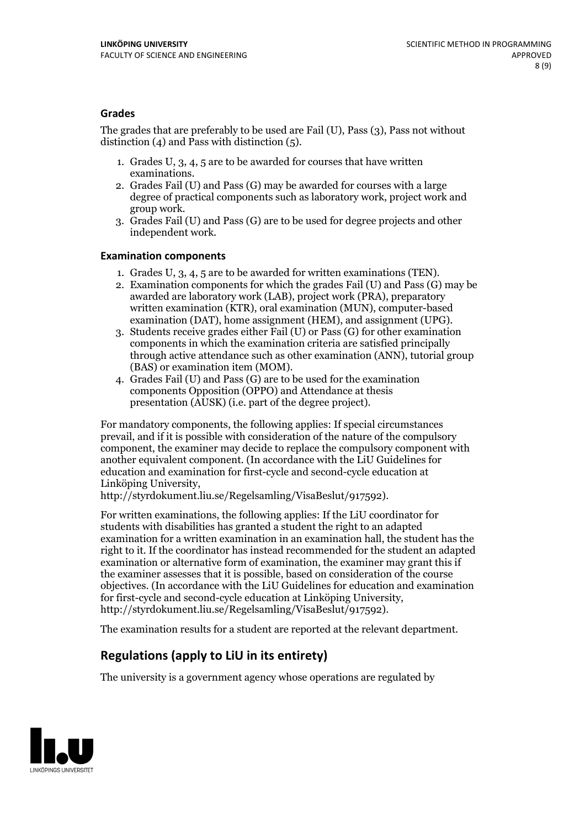#### **Grades**

The grades that are preferably to be used are Fail (U), Pass (3), Pass not without distinction  $(4)$  and Pass with distinction  $(5)$ .

- 1. Grades U, 3, 4, 5 are to be awarded for courses that have written
- examinations. 2. Grades Fail (U) and Pass (G) may be awarded for courses with <sup>a</sup> large degree of practical components such as laboratory work, project work and group work. 3. Grades Fail (U) and Pass (G) are to be used for degree projects and other
- independent work.

#### **Examination components**

- 
- 1. Grades U, 3, 4, <sup>5</sup> are to be awarded for written examinations (TEN). 2. Examination components for which the grades Fail (U) and Pass (G) may be awarded are laboratory work (LAB), project work (PRA), preparatory written examination (KTR), oral examination (MUN), computer-based
- examination (DAT), home assignment (HEM), and assignment (UPG). 3. Students receive grades either Fail (U) or Pass (G) for other examination components in which the examination criteria are satisfied principally through active attendance such as other examination (ANN), tutorial group
- (BAS) or examination item (MOM). 4. Grades Fail (U) and Pass (G) are to be used for the examination components Opposition (OPPO) and Attendance at thesis presentation (AUSK) (i.e. part of the degree project).

For mandatory components, the following applies: If special circumstances prevail, and if it is possible with consideration of the nature of the compulsory component, the examiner may decide to replace the compulsory component with another equivalent component. (In accordance with the LiU Guidelines for education and examination for first-cycle and second-cycle education at Linköping University, http://styrdokument.liu.se/Regelsamling/VisaBeslut/917592).

For written examinations, the following applies: If the LiU coordinator for students with disabilities has granted a student the right to an adapted examination for a written examination in an examination hall, the student has the right to it. If the coordinator has instead recommended for the student an adapted examination or alternative form of examination, the examiner may grant this if the examiner assesses that it is possible, based on consideration of the course objectives. (In accordance with the LiU Guidelines for education and examination for first-cycle and second-cycle education at Linköping University, http://styrdokument.liu.se/Regelsamling/VisaBeslut/917592).

The examination results for a student are reported at the relevant department.

### **Regulations (applyto LiU in its entirety)**

The university is a government agency whose operations are regulated by